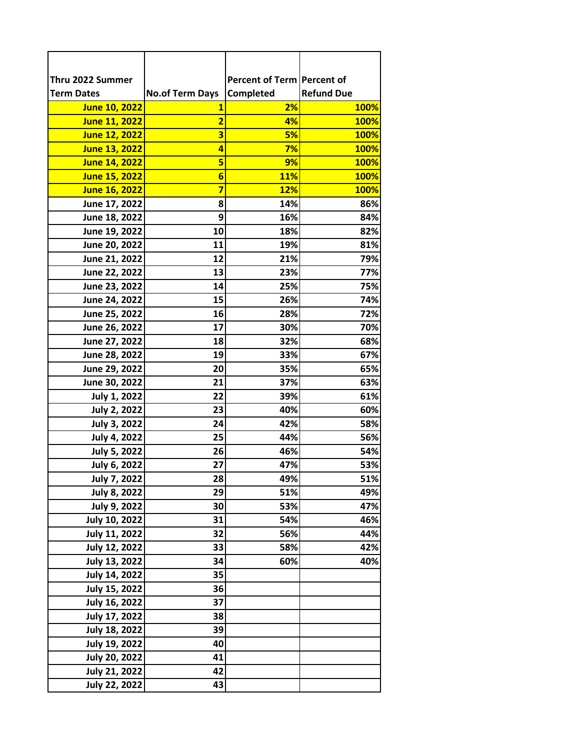| Thru 2022 Summer     |                         | Percent of Term Percent of |                   |
|----------------------|-------------------------|----------------------------|-------------------|
| <b>Term Dates</b>    | <b>No.of Term Days</b>  | Completed                  | <b>Refund Due</b> |
| <b>June 10, 2022</b> | 1                       | 2%                         | 100%              |
| June 11, 2022        | $\overline{\mathbf{2}}$ | 4%                         | 100%              |
| <b>June 12, 2022</b> | 3                       | 5%                         | <b>100%</b>       |
| <b>June 13, 2022</b> | 4                       | 7%                         | <b>100%</b>       |
| <b>June 14, 2022</b> | 5                       | 9%                         | <b>100%</b>       |
| <b>June 15, 2022</b> | $6\overline{6}$         | <b>11%</b>                 | <b>100%</b>       |
| <b>June 16, 2022</b> | 7                       | <b>12%</b>                 | <b>100%</b>       |
| June 17, 2022        | 8                       | 14%                        | 86%               |
| June 18, 2022        | 9                       | 16%                        | 84%               |
| June 19, 2022        | 10                      | 18%                        | 82%               |
| June 20, 2022        | 11                      | 19%                        | 81%               |
| June 21, 2022        | 12                      | 21%                        | 79%               |
| June 22, 2022        | 13                      | 23%                        | 77%               |
| June 23, 2022        | 14                      | 25%                        | 75%               |
| June 24, 2022        | 15                      | 26%                        | 74%               |
| June 25, 2022        | 16                      | 28%                        | 72%               |
| June 26, 2022        | 17                      | 30%                        | 70%               |
| June 27, 2022        | 18                      | 32%                        | 68%               |
| June 28, 2022        | 19                      | 33%                        | 67%               |
| June 29, 2022        | 20                      | 35%                        | 65%               |
| June 30, 2022        | 21                      | 37%                        | 63%               |
| <b>July 1, 2022</b>  | 22                      | 39%                        | 61%               |
| <b>July 2, 2022</b>  | 23                      | 40%                        | 60%               |
| <b>July 3, 2022</b>  | 24                      | 42%                        | 58%               |
| <b>July 4, 2022</b>  | 25                      | 44%                        | 56%               |
| <b>July 5, 2022</b>  | 26                      | 46%                        | 54%               |
| July 6, 2022         | 27                      | 47%                        | 53%               |
| July 7, 2022         | 28                      | 49%                        | 51%               |
| <b>July 8, 2022</b>  | 29                      | 51%                        | 49%               |
| <b>July 9, 2022</b>  | 30                      | 53%                        | 47%               |
| <b>July 10, 2022</b> | 31                      | 54%                        | 46%               |
| July 11, 2022        | 32                      | 56%                        | 44%               |
| <b>July 12, 2022</b> | 33                      | 58%                        | 42%               |
| July 13, 2022        | 34                      | 60%                        | 40%               |
| <b>July 14, 2022</b> | 35                      |                            |                   |
| July 15, 2022        | 36                      |                            |                   |
| July 16, 2022        | 37                      |                            |                   |
| July 17, 2022        | 38                      |                            |                   |
| July 18, 2022        | 39                      |                            |                   |
| <b>July 19, 2022</b> | 40                      |                            |                   |
| <b>July 20, 2022</b> | 41                      |                            |                   |
| <b>July 21, 2022</b> | 42                      |                            |                   |
| <b>July 22, 2022</b> | 43                      |                            |                   |